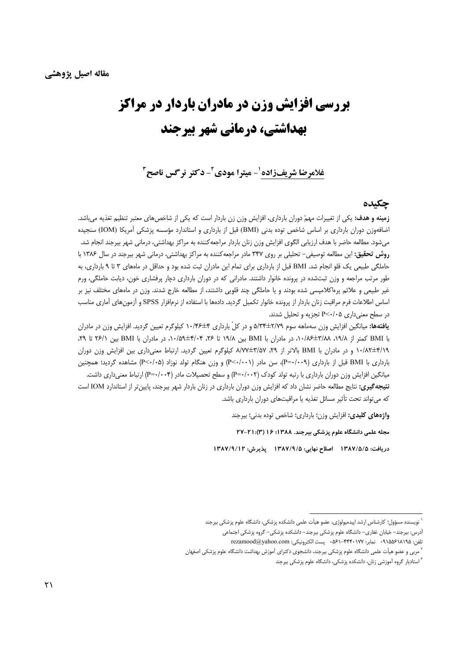# **بررسی افزایش وزن در مادران باردار در مراکز** بهداشتی، درمانی شهر بیرجند

غلامرضا شريفزاده '- ميترا مودي ً- دكتر نرگس ناصح ً

#### حكىدە

**زمینه و هدف:** یکی از تغییرات مهمّ دوران بارداری، افزایش وزن زن باردار است که یکی از شاخصهای معتبر تنظیم تغذیه میباشد. اضافهوزن دوران بارداری بر اساس شاخص توده بدنی (BMI) قبل از بارداری و استاندارد مؤسسه پزشکی آمریکا (IOM) سنجیده میشود. مطالعه حاضر با هدف ارزیابی الگوی افزایش وزن زنان باردار مراجعه کننده به مراکز بهداشتی، درمانی شهر بیرجند انجام شد. روش تحقیق: این مطالعه توصیفی- تحلیلی بر روی ۳۴۷ مادر مراجعه کننده به مراکز بهداشتی، درمانی شهر بیرجند در سال ۱۳۸۶ با حاملگی طبیعی یک قلو انجام شد. BMI قبل از بارداری برای تمام این مادران ثبت شده بود و حداقل در ماههای ۳ تا ۹ بارداری، به طور مرتب مراجعه و وزن ثبتشده در پرونده خانوار داشتند. مادرانی که در دوران بارداری دچار پرفشاری خون، دیابت حاملگی، ورم غیر طبیعی و علائم پره|کلامپسی شده بودند و یا حاملگی چند قلویی داشتند، از مطالعه خارج شدند. وزن در ماههای مختلف نیز بر اساس اطلاعات فرم مراقبت زنان باردار از پرونده خانوار تكميل گرديد. دادهها با استفاده از نرمافزار SPSS و آزمونهاى آمارى مناسب در سطح معنی داری P<٠/٠۵ تجزیه و تحلیل شدند.

**یافتهها:** میانگین افزایش وزن سهماهه سوم ۲/۷۹±۵/۳۴ و در کلّ بارداری ۴±۱۰/۴۶ کیلوگرم تعیین گردید. افزایش وزن در مادران با BMI کمتر از ۰٫۰/۸۸ لم/۳٫۴ در مادران با BMI بین ۱۹/۸ تا ۲۶، ۰٫۰/۵۴±۵۰٫۰ در مادران با BMI بین ۲۶/۱ تا ۲۶٫ ۰۰/۸۲±۴/۱۹ و در مادران با BMI بالاتر از ۲۹، ۸/۷۷±۳/۵۷ کیلوگرم تعیین گردید. ارتباط معنیداری بین افزایش وزن دوران بارداری با BMI قبل از بارداری (P=۰/۰۰۹)، سن مادر (P<۰/۰۰۱) و وزن هنگام تولد نوزاد (P<۰/۰۵) مشاهده گردید؛ همچنین میانگین افزایش وزن دوران بارداری با رتبه تولد کودک (P=۰/۰۰۲) و سطح تحصیلات مادر (P=۰/۰۰۴) ارتباط معنی داری داشت. **نتیجه تمیری:** نتایج مطالعه حاضر نشان داد که افزایش وزن دوران بارداری در زنان باردار شهر بیرجند، پایین تر از استاندارد IOM است كه مى تواند تحت تأثير مسائل تغذيه يا مراقبتهاى دوران باردارى باشد.

واژههای کلیدی: افزایش وزن؛ بارداری؛ شاخص توده بدنی؛ بیرجند

مجله علمی دانشگاه علوم پزشکی بیرجند. ۱۳۸۸؛ ۱۶ (۳): ۲۱-۲۷

دريافت: ١٣٨٧/٥/٥ اصلاح نهايي: ١٣٨٧/٩/٥ يذيرش: ١٣٨٧/٩/١٢

<sup>ّ</sup> نویسنده مسؤول؛ کارشناس ارشد اپیدمیولوژی، عضو هیأت علمی دانشکده پزشکی، دانشگاه علوم پزشکی بیرجند

آدرس: بیرجند– خیابان غفاری– دانشگاه علوم پزشکی بیرجند– دانشکده پزشکی– گروه پزشکی اجتماعی

تلفن: ٩١٨٥٥٤١٨١٩٥ - نمابر: ٠٥٤١-۴۴۴٠١٧٧ مه. پست الكترونيكي: rezamood@yahoo.com

<sup>&</sup>lt;sup>۲</sup> مربی و عضو هیأت علمی دانشگاه علوم پزشکی بیرجند، دانشجوی دکترای آموزش بهداشت دانشگاه علوم پزشکی اصفهان

<sup>&</sup>lt;sup>۳</sup> استادیار گروه آموزشی زنان، دانشکده پزشکی، دانشگاه علوم پزشکی بیرجند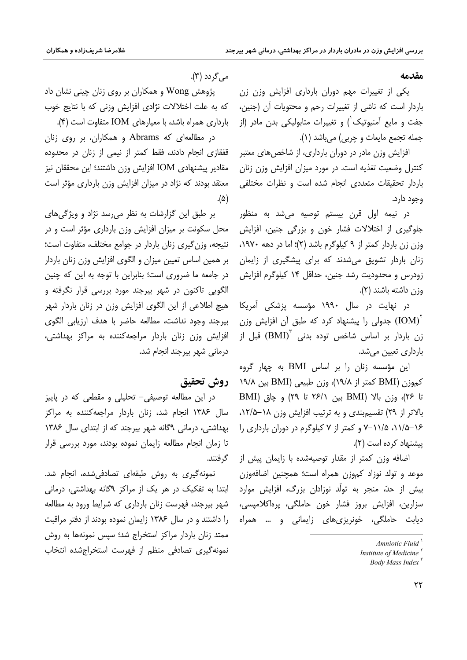#### مقدمه

یکی از تغییرات مهم دوران بارداری افزایش وزن زن باردار است که ناشی از تغییرات رحم و محتویات آن (جنین، جفت و مایع آمنیوتیک') و تغییرات متابولیکی بدن مادر (از جمله تجمع مايعات و چربي) مي باشد (١).

افزایش وزن مادر در دوران بارداری، از شاخصهای معتبر کنترل وضعیت تغذیه است. در مورد میزان افزایش وزن زنان باردار تحقیقات متعددی انجام شده است و نظرات مختلفی وجود دارد.

در نیمه اول قرن بیستم توصیه میشد به منظور جلوگیری از اختلالات فشار خون و بزرگی جنین، افزایش وزن زن باردار کمتر از ۹ کیلوگرم باشد (۲)؛ اما در دهه ۱۹۷۰، زنان باردار تشویق میشدند که برای پیشگیری از زایمان زودرس و محدودیت رشد جنین، حداقل ۱۴ کیلوگرم افزایش وزن داشته باشند (۲).

در نهایت در سال ۱۹۹۰ مؤسسه یزشکی آمریکا بدولی را پیشنهاد کرد که طبق آن افزایش وزن (IOM) زن باردار بر اساس شاخص توده بدنی  ${\rm (BMI)}^{\rm r}$  قبل از بارداری تعیین می شد.

این مؤسسه زنان را بر اساس BMI به چهار گروه کموزن (BMI کمتر از ۱۹/۸)، وزن طبیعی (BMI بین ۱۹/۸ تا ۲۶)، وزن بالا (BMI بين ٢۶/١ تا ٢٩) و چاق (BMI بالاتر از ۲۹) تقسیم بندی و به ترتیب افزایش وزن ۱۸–۱۲/۵، ۰۱۶–۱۱/۵، ۱۱/۵–۲ و کمتر از ۷ کیلوگرم در دوران بارداری را پیشنهاد کرده است (۲).

اضافه وزن کمتر از مقدار توصیهشده با زایمان پیش از موعد و تولد نوزاد کموزن همراه است؛ همچنین اضافهوزن بیش از حدّ، منجر به تولّد نوزادان بزرگ، افزایش موارد سزارین، افزایش بروز فشار خون حاملگی، پرهاکلامیسی، دیابت حاملگی، خونریزیهای زایمانی و … همراه

مي گردد (۳).

پژوهش Wong و همکاران بر روی زنان چینی نشان داد که به علت اختلالات نژادی افزایش وزنی که با نتایج خوب بارداری همراه باشد، با معیارهای IOM متفاوت است (۴).

در مطالعهای که Abrams و همکاران، بر روی زنان قفقازی انجام دادند، فقط کمتر از نیمی از زنان در محدوده مقادیر پیشنهادی IOM افزایش وزن داشتند؛ این محققان نیز معتقد بودند که نژاد در میزان افزایش وزن بارداری مؤثر است  $.(\Delta)$ 

بر طبق این گزارشات به نظر می رسد نژاد و ویژگیهای محل سکونت بر میزان افزایش وزن بارداری مؤثر است و در نتيجه، وزن گيري زنان باردار در جوامع مختلف، متفاوت است؛ بر همین اساس تعیین میزان و الگوی افزایش وزن زنان باردار در جامعه ما ضروری است؛ بنابراین با توجه به این که چنین الگویی تاکنون در شهر بیرجند مورد بررسی قرار نگرفته و هیچ اطلاعی از این الگوی افزایش وزن در زنان باردار شهر بیرجند وجود نداشت، مطالعه حاضر با هدف ارزیابی الگوی افزایش وزن زنان باردار مراجعه كننده به مراكز بهداشتى، درمانی شهر بیرجند انجام شد.

# روش تحقيق

در این مطالعه توصیفی– تحلیلی و مقطعی که در پاییز سال ۱۳۸۶ انجام شد، زنان باردار مراجعه کننده به مراکز بهداشتی، درمانی ۹گانه شهر بیرجند که از ابتدای سال ۱۳۸۶ تا زمان انجام مطالعه زایمان نموده بودند، مورد بررسی قرار گر فتند.

نمونه گیری به روش طبقهای تصادفی شده، انجام شد. ابتدا به تفکیک در هر یک از مراکز ۹گانه بهداشتی، درمانی شهر بیرجند، فهرست زنان بارداری که شرایط ورود به مطالعه را داشتند و در سال ۱۳۸۶ زایمان نموده بودند از دفتر مراقبت ممتد زنان باردار مراکز استخراج شد؛ سپس نمونهها به روش نمونه گیری تصادفی منظم از فهرست استخراجشده انتخاب

Amniotic Fluid

Institute of Medicine<sup>Y</sup>

Body Mass Index  $\overline{\ }$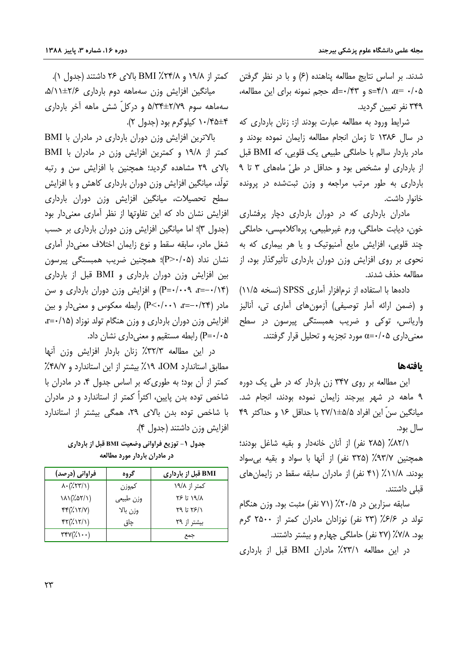شدند. بر اساس نتایج مطالعه پناهنده (۶) و با در نظر گرفتن s=۴/۱ a= ۰/۰۵ و d=۰/۴۳، حجم نمونه برای این مطالعه، ۳۴۹ نفر تعیین گردید.

شرایط ورود به مطالعه عبارت بودند از: زنان بارداری که در سال ۱۳۸۶ تا زمان انجام مطالعه زایمان نموده بودند و مادر باردار سالم با حاملگی طبیعی یک قلویی، که BMI قبل از بارداری او مشخص بود و حداقل در طیّ ماههای ۳ تا ۹ بارداری به طور مرتب مراجعه و وزن ثبتشده در پرونده خانوار داشت.

مادران بارداری که در دوران بارداری دچار پرفشاری خون، ديابت حاملگي، ورم غيرطبيعي، پرهاکلاميسي، حاملگي چند قلویی، افزایش مایع آمنیوتیک و یا هر بیماری که به نحوی بر روی افزایش وزن دوران بارداری تأثیرگذار بود، از مطالعه حذف شدند.

دادهها با استفاده از نرمافزار آماری SPSS (نسخه ۱۱/۵) و (ضمن ارائه آمار توصیفی) آزمونهای آماری تی، آنالیز واریانس، توکی و ضریب همبستگی پیرسون در سطح معنیداری ۵+/۰+c مورد تجزیه و تحلیل قرار گرفتند.

### بافتهها

این مطالعه بر روی ۳۴۷ زن باردار که در طی یک دوره ۹ ماهه در شهر بیرجند زایمان نموده بودند، انجام شد. میانگین سنّ این افراد ۵/۵±۲۷/۱ با حداقل ۱۶ و حداکثر ۴۹ سال بود.

٨٢/١٪ (٢٨٥ نفر) از آنان خانهدار و بقيه شاغل بودند؛ همچنین ۹۳/۷٪ (۳۲۵ نفر) از آنها با سواد و بقیه بی سواد بودند. ١١/٨٪ (۴١ نفر) از مادران سابقه سقط در زایمان های قبلی داشتند.

سابقه سزارین در ۲۰/۵٪ (۷۱ نفر) مثبت بود. وزن هنگام تولد در ۶/۶٪ (۲۳ نفر) نوزادان مادران کمتر از ۲۵۰۰ گرم بود. ۷/۸٪ (۲۷ نفر) حاملگی چهارم و بیشتر داشتند.

در این مطالعه ۲۳/۱٪ مادران BMI قبل از بارداری

کمتر از ۱۹/۸ و ۲۴/۸٪ BMI بالای ۲۶ داشتند (جدول ۱). میانگین افزایش وزن سهماهه دوم بارداری ۲/۶±۵/۱/۱، سهماهه سوم ٢/٧٩±٥/٣٤م و دركلّ شش ماهه آخر باردارى ۰/۴۵±۴ کیلوگرم بود (جدول ۲).

بالاترین افزایش وزن دوران بارداری در مادران با BMI کمتر از ١٩/٨ و کمترين افزايش وزن در مادران با BMI بالای ۲۹ مشاهده گردید؛ همچنین با افزایش سن و رتبه تولَّد، میانگین افزایش وزن دوران بارداری کاهش و با افزایش سطح تحصیلات، میانگین افزایش وزن دوران بارداری افزایش نشان داد که این تفاوتها از نظر آماری معنیدار بود (جدول ۳)؛ اما میانگین افزایش وزن دوران بارداری بر حسب شغل مادر، سابقه سقط و نوع زایمان اختلاف معنیدار آماری نشان نداد (P>٠/٠۵)؛ همچنین ضریب همبستگی پیرسون بین افزایش وزن دوران بارداری و BMI قبل از بارداری  $r = -1$  (۲۰۰۹ - ۱۰۰۹) و افزایش وزن دوران بارداری و سن مادر (۲۴/+-=r، (۱۰۰۲++P) رابطه معکوس و معنیدار و بین افزایش وزن دوران بارداری و وزن هنگام تولد نوزاد (۰/۱۵–r=۰ ۵+/+=P) رابطه مستقیم و معنیداری نشان داد.

در این مطالعه ۳۲/۳٪ زنان باردار افزایش وزن آنها مطابق استاندارد IOM، ١٩٪ بیشتر از این استاندارد و ۴۸/۲٪ کمتر از آن بود؛ به طوری که بر اساس جدول ۴، در مادران با شاخص توده بدن پایین، اکثراً کمتر از استاندارد و در مادران با شاخص توده بدن بالای ۲۹، همگی بیشتر از استاندارد افزايش وزن داشتند (جدول ۴).

جدول ١- توزيع فراواني وضعيت BMI قبل از بارداري در مادران باردار مورد مطالعه

| فراوانی (درصد)                                                      | گروه      | BMI قبل از بارداری |
|---------------------------------------------------------------------|-----------|--------------------|
| $\Lambda \cdot (\frac{1}{2} \Upsilon \Upsilon \Upsilon / \Upsilon)$ | كموزن     | کمتر از ۱۹/۸       |
| $(\lambda)(\lambda \Delta \Upsilon/\Upsilon)$                       | وزن طبيعي | ۱۹/۸ تا ۲۶         |
| $FF(\lambda \setminus Y/V)$                                         | وزن بالا  | ۲۹ تا ۲۹           |
| $FT(\frac{1}{2}\frac{1}{\sqrt{2}})$                                 | چاق       | بیشتر از ۲۹        |
| $\mathsf{TYY}(\mathcal{K})\cdots$                                   |           | جمع                |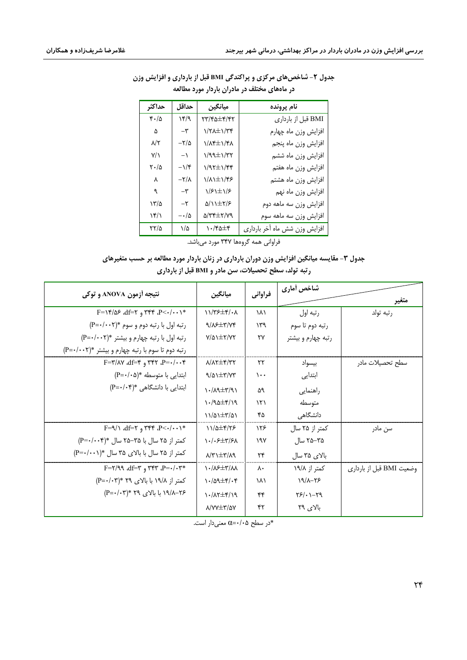| حداكثر                                | حداقل                | ميانگين                       | نام پرونده                    |
|---------------------------------------|----------------------|-------------------------------|-------------------------------|
| $\mathfrak{r}\cdot\mathfrak{d}$       | ۱۴/۹                 | ۲۳/۴۵±۴/۴۲                    | BMI قبل از بارداري            |
| ۵                                     | $-\mathsf{r}$        | $1/\tau \lambda \pm 1/\tau$ ۴ | افزايش وزن ماه چهارم          |
| ۸/۲                                   | $-\frac{1}{2}$       | <b>١/٨۴±١/۴٨</b>              | افزايش وزن ماه پنجم           |
| $Y/\lambda$                           | $\left( -\right)$    | $1/99 \pm 1/77$               | افزايش وزن ماه ششم            |
| $\mathsf{r}\cdot\mathsf{r}\mathsf{r}$ | $-\frac{1}{r}$       | $1/97\pm1/99$                 | افزايش وزن ماه هفتم           |
| ٨                                     | $-\frac{1}{\Lambda}$ | <b>١/٨١±١/۴۶</b>              | افزايش وزن ماه هشتم           |
| ٩                                     | $-\mathsf{r}$        | $1/5$ $\pm$ $1/5$             | افزايش وزن ماه نهم            |
| ۱۳/۵                                  | $-\tau$              | $\Delta/\lambda \pm \gamma/5$ | افزايش وزن سه ماهه دوم        |
| ۱۴/۱                                  | $-\cdot/\Delta$      | 8/۳۴±۲/۷۹                     | افزايش وزن سه ماهه سوم        |
| ۲۲/۵                                  | ۱/۵                  | $\cdot$ /۴۵ $\pm$ ۴           | افزایش وزن شش ماه آخر بارداری |

# جدول ۲- شاخصهای مرکزی و پراکندگی BMI قبل از بارداری و افزایش وزن در ماههای مختلف در مادران باردار مورد مطالعه

فراوانی همه گروهها ۳۴۷ مورد میباشد.

# جدول ۳- مقایسه میانگین افزایش وزن دوران بارداری در زنان باردار مورد مطالعه بر حسب متغیرهای رتبه تولد، سطح تحصیلات، سن مادر و BMI قبل از بارداری

| نتيجه أزمون ANOVA و توكي                                                                | ميانگين                                                                                                                                                                                                                                     | فراواني                | شاخص أماري         |                          |  |
|-----------------------------------------------------------------------------------------|---------------------------------------------------------------------------------------------------------------------------------------------------------------------------------------------------------------------------------------------|------------------------|--------------------|--------------------------|--|
|                                                                                         |                                                                                                                                                                                                                                             |                        |                    | متغير                    |  |
| $F = \sqrt{65}$ , $df = \gamma$ , $\gamma \gamma$ , $P \leq \gamma / \gamma$ , $\gamma$ | $11/75 \pm 1.4$                                                                                                                                                                                                                             | ١٨١                    | رتبه اول           | رتبه تولد                |  |
| رتبه اول با رتبه دوم و سوم *(P=٠/٠٠٢)                                                   | $9/\lambda$ $\pm$ $7/\gamma$                                                                                                                                                                                                                | ۱۳۹                    | رتبه دوم تا سوم    |                          |  |
| رتبه اول با رتبه چهارم و بیشتر *(P=٠/٠٠٢)                                               | $Y/\Delta$ $\pm$ ۲/Y۲                                                                                                                                                                                                                       | $\mathsf{Y}\mathsf{Y}$ | رتبه چهارم و بیشتر |                          |  |
| رتبه دوم تا سوم با رتبه چهارم و بیشتر *(P=٠/٠٠٢)                                        |                                                                                                                                                                                                                                             |                        |                    |                          |  |
| $F = \gamma / \Delta V$ alf= $\gamma$ , $\gamma \gamma - P = \gamma / \gamma + F$       | $\lambda/\lambda \tau \pm \tau/\tau \tau$                                                                                                                                                                                                   | ۲۲                     | بيسواد             | سطح تحصيلات مادر         |  |
| ابتدایی با متوسطه *(P=٠/٠۵)                                                             | $9/01 \pm 7/77$                                                                                                                                                                                                                             | $\cdots$               | ابتدایی            |                          |  |
| ابتدایی با دانشگاهی *(P=٠/٠۴)                                                           | $\lambda \cdot / \lambda$ 9 $\pm$ ۳/۹ $\lambda$                                                                                                                                                                                             | Δ٩                     | راهنمایی           |                          |  |
|                                                                                         | $\cdot$ /90 + $\uparrow$                                                                                                                                                                                                                    | ۱۲۱                    | متوسطه             |                          |  |
|                                                                                         | $11/21 \pm 5/21$                                                                                                                                                                                                                            | ۴۵                     | دانشگاهی           |                          |  |
| $F = \sqrt{\det F}$ , $\det F = \frac{F}{\det F}$                                       | $11/2$ + $75$                                                                                                                                                                                                                               | ۱۲۶                    | کمتر از ۲۵ سال     | سن مادر                  |  |
| کمتر از ۲۵ سال با ۳۵–۲۵ سال *(۴-۰/۰۰۴)                                                  | $\left.\right.\right.\left.\left.\right.\left.\right.\left.\right.\left.\left.\right.\left.\left.\right.\left.\left.\right.\left.\left.\right.\left.\left.\right.\right.\left.\left.\right.\left.\left.\right.\right.\right.\right\right\}$ | ۱۹۷                    | ۲۵–۲۵ سال          |                          |  |
| کمتر از ۲۵ سال با بالای ۳۵ سال *(۱۰۰۱-P=۰)                                              | $A/\tau$ + $\tau$                                                                                                                                                                                                                           | ۲۴                     | بالای ۳۵ سال       |                          |  |
| $F = Y / 99$ , $df = Y$ , $Y^*Y$ , $P = \cdot / \cdot Y^*$                              | $\lambda$ / $\lambda$ / $\pm$ $\tau$                                                                                                                                                                                                        | $\Lambda$              | کمتر از ۱۹/۸       | وضعیت BMI قبل از بارداری |  |
| کمتر از ۱۹/۸ با بالای ۲۹ *(۲+/۰۳)                                                       | $\cdot$ /aq $\pm$ ۴/ $\cdot$ ۴                                                                                                                                                                                                              | ١٨١                    | 19/1-18            |                          |  |
| ۰۲۶–۱۹/۸ با بالای ۲۹ *(۲+۰۳)                                                            | $\frac{1}{2}$                                                                                                                                                                                                                               | ۴۴                     | $Y5/\cdot 1 - Y9$  |                          |  |
|                                                                                         | $\lambda$ / $V$ $\pm$ ۳/۵۷                                                                                                                                                                                                                  | ۴۲                     | بالای ۲۹           |                          |  |

\*در سطح ۵+/۰=c معنىدار است.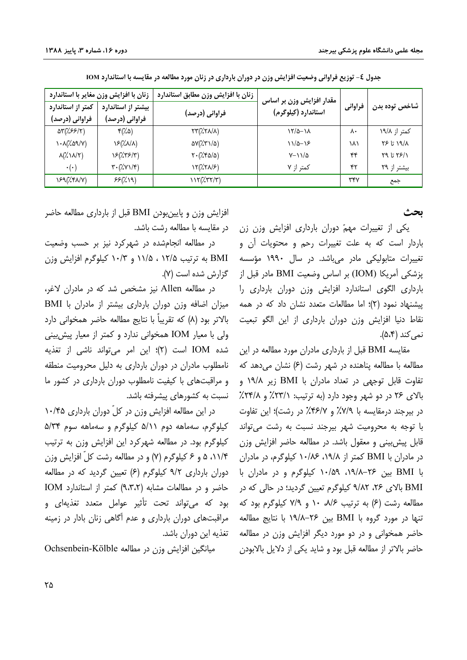| زنان با افزایش وزن مغایر با استاندارد                     |                                                         | زنان با افزایش وزن مطابق استاندارد                                        | مقدار افزایش وزن بر اساس |         |               |
|-----------------------------------------------------------|---------------------------------------------------------|---------------------------------------------------------------------------|--------------------------|---------|---------------|
| کمتر از استاندارد                                         | بیشتر از استاندارد                                      |                                                                           | استاندارد (کیلوگرم)      | فراوانی | شاخص توده بدن |
| فراوانی (درصد)                                            | فراوانی (درصد)                                          | فراوانی (درصد)                                                            |                          |         |               |
| ۵۳(۱۶۶/۲)                                                 | $\mathfrak{r}(\lambda \mathfrak{a})$                    | $\Upsilon \Upsilon \left( \frac{1}{2} \Upsilon \Lambda / \Lambda \right)$ | $\frac{1}{2}$            | ۸۰      | کمتر از ۱۹/۸  |
| $\lambda \cdot \lambda / \lambda \alpha \lambda / \gamma$ | $\Sigma(X\Lambda/\Lambda)$                              | $\Delta V(\chi \Upsilon \setminus \Delta)$                                | $11/2-15$                | ۱۸۱     | ۱۹/۸ تا ۲۶    |
| $\lambda(\frac{7}{2}\lambda/\lambda/\tau)$                | 18(***/٣)                                               | $\mathbf{Y} \cdot (\mathbf{X} \cdot \mathbf{A} / \mathbf{A})$             | $Y - 11/2$               | ۴۴      | $Y9U77$ تا    |
| $\cdot(\cdot)$                                            | $\mathbf{Y} \cdot (\mathbf{X} \mathbf{Y}) / \mathbf{Y}$ | $\Upsilon(\frac{1}{2}\Upsilon\Lambda/\mathcal{F})$                        | کمتر از ۷                | ۴۲      | بیشتر از ۲۹   |
| 189(%FA/V)                                                | 55(7.19)                                                | $117(\frac{7}{117})$                                                      |                          | ٣۴٧     | جمع           |

جدول ٤- توزيع فراواني وضعيت افزايش وزن در دوران بارداري در زنان مورد مطالعه در مقايسه با استاندارد IOM

ىحث

یکی از تغییرات مهمّ دوران بارداری افزایش وزن زن باردار است که به علت تغییرات رحم و محتویات آن و تغییرات متابولیکی مادر میباشد. در سال ۱۹۹۰ مؤسسه يزشكي آمريكا (IOM) بر اساس وضعيت BMI مادر قبل از بارداری الگوی استاندارد افزایش وزن دوران بارداری را ییشنهاد نمود (۲)؛ اما مطالعات متعدد نشان داد که در همه نقاط دنیا افزایش وزن دوران بارداری از این الگو تبعیت نمي كند (۵،۴).

مقایسه BMI قبل از بارداری مادران مورد مطالعه در این مطالعه با مطالعه پناهنده در شهر رشت (۶) نشان میدهد که تفاوت قابل توجهی در تعداد مادران با BMI زیر ۱۹/۸ و بالای ۲۶ در دو شهر وجود دارد (به ترتیب: ۲۳/۱٪ و ۲۴/۸٪ در بیرجند درمقایسه با ۷/۹٪ و ۴۶/۷٪ در رشت)؛ این تفاوت با توجه به محرومیت شهر بیرجند نسبت به رشت میتواند قابل پیش بینی و معقول باشد. در مطالعه حاضر افزایش وزن در مادران با BMI کمتر از ۱۹/۸، ۱۰/۸۶ کیلوگرم، در مادران با BMI بين ۲۶–۱۹/۸، ۱۰/۵۹ كيلوگرم و در مادران با BMI بالای ۲۶، ۹/۸۲ کیلوگرم تعیین گردید؛ در حالی که در مطالعه رشت (۶) به ترتیب ۰/۶، ۱۰ و ۷/۹ کیلوگرم بود که تنها در مورد گروه با BMI بین ۲۶–۱۹/۸ با نتایج مطالعه حاضر همخوانی و در دو مورد دیگر افزایش وزن در مطالعه حاضر بالاتر از مطالعه قبل بود و شاید یکی از دلایل بالابودن

افزایش وزن و پایینبودن BMI قبل از بارداری مطالعه حاضر در مقايسه با مطالعه رشت باشد.

در مطالعه انجامشده در شهرکرد نیز بر حسب وضعیت BMI به ترتیب ۱۲/۵ ، ۱۱/۵ و ۱۰/۳ کیلوگرم افزایش وزن گزارش شده است (۷).

در مطالعه Allen نیز مشخص شد که در مادران لاغر، میزان اضافه وزن دوران بارداری بیشتر از مادران با BMI بالاتر بود (٨) كه تقريباً با نتايج مطالعه حاضر همخواني دارد ولی با معیار IOM همخوانی ندارد و کمتر از معیار پیشبینی شده IOM است (۲)؛ این امر می تواند ناشی از تغذیه نامطلوب مادران در دوران بارداری به دلیل محرومیت منطقه و مراقبتهای با کیفیت نامطلوب دوران بارداری در کشور ما نسبت به کشورهای پیشرفته باشد.

در این مطالعه افزایش وزن در کلّ دوران بارداری ۱۰/۴۵ کیلوگرم، سهماهه دوم ۵/۱۱ کیلوگرم و سهماهه سوم ۵/۳۴ کیلوگرم بود. در مطالعه شهرکرد این افزایش وزن به ترتیب ۰۱۱/۴ ۵ و ۶ کیلوگرم (۷) و در مطالعه رشت کلّ افزایش وزن دوران بارداری ۹/۲ کیلوگرم (۶) تعیین گردید که در مطالعه حاضر و در مطالعات مشابه (٩،٣،٢) کمتر از استاندارد IOM بود که می تواند تحت تأثیر عوامل متعدد تغذیهای و مراقبتهای دوران بارداری و عدم آگاهی زنان بادار در زمینه - تغذیه این دوران باشد.

میانگین افزایش وزن در مطالعه Ochsenbein-Kölble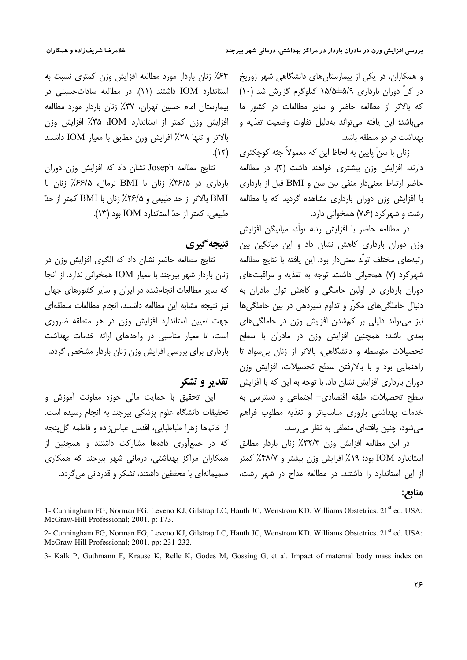و همکاران، در یکی از بیمارستانهای دانشگاهی شهر زوریخ در کلّ دوران بارداری ۵/۹±۱۵/۵ کیلوگرم گزارش شد (۱۰) که بالاتر از مطالعه حاضر و سایر مطالعات در کشور ما میباشد؛ این یافته میتواند بهدلیل تفاوت وضعیت تغذیه و بهداشت در دو منطقه باشد.

زنان با سنّ پایین به لحاظ این که معمولاً جثه کوچکتری دارند، افزایش وزن بیشتری خواهند داشت (۳). در مطالعه حاضر ارتباط معنىدار منفى بين سن و BMI قبل از باردارى با افزایش وزن دوران بارداری مشاهده گردید که با مطالعه رشت و شهر کرد (۷،۶) همخوانی دارد.

در مطالعه حاضر با افزایش رتبه تولّد، میانیگن افزایش وزن دوران بارداری کاهش نشان داد و این میانگین بین رتبههای مختلف تولّد معنیٍدار بود. این یافته با نتایج مطالعه شهرکرد (۷) همخوانی داشت. توجه به تغذیه و مراقبتهای دوران بارداری در اولین حاملگی و کاهش توان مادران به دنبال حاملگیهای مکرّر و تداوم شیردهی در بین حاملگیها نیز می تواند دلیلی بر کمشدن افزایش وزن در حاملگی های بعدی باشد؛ همچنین افزایش وزن در مادران با سطح تحصیلات متوسطه و دانشگاهی، بالاتر از زنان بی سواد تا راهنمایی بود و با بالارفتن سطح تحصیلات، افزایش وزن دوران بارداری افزایش نشان داد. با توجه به این که با افزایش سطح تحصیلات، طبقه اقتصادی- اجتماعی و دسترسی به خدمات بهداشتی باروری مناسبتر و تغذیه مطلوب فراهم مے شود، چنین یافتهای منطقی به نظر می رسد.

در این مطالعه افزایش وزن ۳۲/۳٪ زنان باردار مطابق استاندارد IOM بود؛ ۱۹٪ افزایش وزن بیشتر و ۴۸/۷٪ کمتر از این استاندارد را داشتند. در مطالعه مداح در شهر رشت، هصمیمانهای با محققین داشتند، تشکر و قدردانی میگردد.

۶۴٪ زنان باردار مورد مطالعه افزایش وزن کمتری نسبت به استاندارد IOM داشتند (١١). در مطالعه ساداتحسینی در بیمارستان امام حسین تهران، ۳۷٪ زنان باردار مورد مطالعه افزایش وزن کمتر از استاندارد IOM، ۳۵٪ افزایش وزن بالاتر و تنها ٢٨٪ افرايش وزن مطابق با معيار IOM داشتند  $(15)$ .

نتايج مطالعه Joseph نشان داد كه افزايش وزن دوران بارداری در ۳۶/۵٪ زنان با BMI نرمال، ۶۶/۵٪ زنان با BMI بالاتر از حد طبیعی و ۲۶/۵٪ زنان با BMI کمتر از حدّ طبیعی، کمتر از حدّ استاندارد IOM بود (١٣).

نتىجەگىرى

نتايج مطالعه حاضر نشان داد كه الگوى افزايش وزن در زنان باردار شهر بیرجند با معیار IOM همخوانی ندارد. از آنجا که سایر مطالعات انجامشده در ایران و سایر کشورهای جهان نيز نتيجه مشابه اين مطالعه داشتند، انجام مطالعات منطقهاى جهت تعیین استاندارد افزایش وزن در هر منطقه ضروری است، تا معیار مناسبی در واحدهای ارائه خدمات بهداشت بارداری برای بررسی افزایش وزن زنان باردار مشخص گردد.

# ققدیر و تشکر

این تحقیق با حمایت مالی حوزه معاونت آموزش و تحقیقات دانشگاه علوم پزشکی بیرجند به انجام رسیده است. از خانهها زهرا طباطبایی، اقدس عباس;اده و فاطمه گل پنجه که در جمعآوری دادهها مشارکت داشتند و همچنین از همکاران مراکز بهداشتی، درمانی شهر بیرجند که همکاری

#### منابع:

<sup>1-</sup> Cunningham FG, Norman FG, Leveno KJ, Gilstrap LC, Hauth JC, Wenstrom KD. Williams Obstetrics. 21<sup>st</sup> ed. USA: McGraw-Hill Professional: 2001. p: 173.

<sup>2-</sup> Cunningham FG, Norman FG, Leveno KJ, Gilstrap LC, Hauth JC, Wenstrom KD. Williams Obstetrics. 21<sup>st</sup> ed. USA: McGraw-Hill Professional; 2001. pp: 231-232.

<sup>3-</sup> Kalk P, Guthmann F, Krause K, Relle K, Godes M, Gossing G, et al. Impact of maternal body mass index on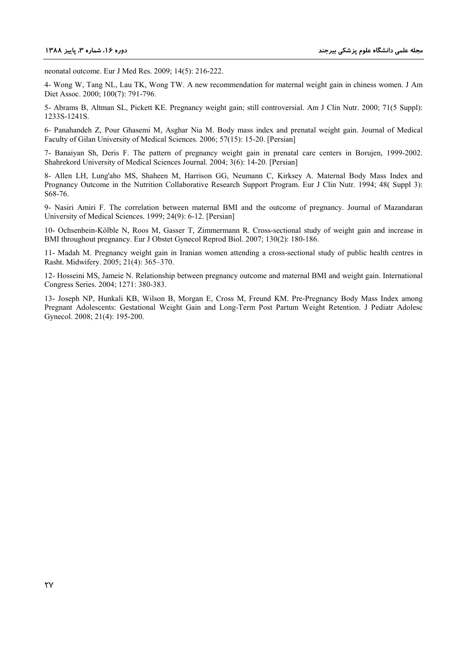neonatal outcome. Eur J Med Res. 2009; 14(5): 216-222.

4- Wong W, Tang NL, Lau TK, Wong TW. A new recommendation for maternal weight gain in chiness women. J Am Diet Assoc. 2000; 100(7): 791-796.

5- Abrams B, Altman SL, Pickett KE. Pregnancy weight gain; still controversial. Am J Clin Nutr. 2000; 71(5 Suppl): 1233S-1241S.

6- Panahandeh Z, Pour Ghasemi M, Asghar Nia M. Body mass index and prenatal weight gain. Journal of Medical Faculty of Gilan University of Medical Sciences. 2006; 57(15): 15-20. [Persian]

7- Banaiyan Sh, Deris F. The pattern of pregnancy weight gain in prenatal care centers in Borujen, 1999-2002. Shahrekord University of Medical Sciences Journal. 2004; 3(6): 14-20. [Persian]

8- Allen LH, Lung'aho MS, Shaheen M, Harrison GG, Neumann C, Kirksey A. Maternal Body Mass Index and Prognancy Outcome in the Nutrition Collaborative Research Support Program. Eur J Clin Nutr. 1994; 48( Suppl 3): S68-76.

9- Nasiri Amiri F. The correlation between maternal BMI and the outcome of pregnancy. Journal of Mazandaran University of Medical Sciences. 1999; 24(9): 6-12. [Persian]

10- Ochsenbein-Kölble N, Roos M, Gasser T, Zimmermann R. Cross-sectional study of weight gain and increase in BMI throughout pregnancy. Eur J Obstet Gynecol Reprod Biol. 2007; 130(2): 180-186.

11- Madah M. Pregnancy weight gain in Iranian women attending a cross-sectional study of public health centres in Rasht. Midwifery. 2005; 21(4): 365–370.

12- Hosseini MS, Jameie N. Relationship between pregnancy outcome and maternal BMI and weight gain. International Congress Series. 2004; 1271: 380-383.

13- Joseph NP, Hunkali KB, Wilson B, Morgan E, Cross M, Freund KM. Pre-Pregnancy Body Mass Index among Pregnant Adolescents: Gestational Weight Gain and Long-Term Post Partum Weight Retention. J Pediatr Adolesc Gynecol. 2008; 21(4): 195-200.